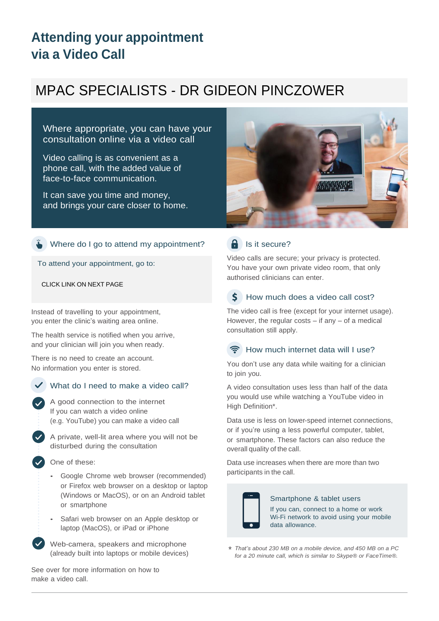## **Attending your appointment via a Video Call**

# MPAC SPECIALISTS - DR GIDEON PINCZOWER

Where appropriate, you can have your consultation online via a video call

Video calling is as convenient as a phone call, with the added value of face-to-face communication.

It can save you time and money, and brings your care closer to home.



#### Where do I go to attend my appointment?

To attend your appointment, go to:

CLICK LINK ON NEXT PAGE

Instead of travelling to your appointment, you enter the clinic's waiting area online.

The health service is notified when you arrive, and your clinician will join you when ready.

There is no need to create an account. No information you enter is stored.



#### What do I need to make a video call?

A good connection to the internet If you can watch a video online (e.g. YouTube) you can make a video call

A private, well-lit area where you will not be disturbed during the consultation

One of these:

- Google Chrome web browser (recommended) or Firefox web browser on a desktop or laptop (Windows or MacOS), or on an Android tablet or smartphone
- Safari web browser on an Apple desktop or laptop (MacOS), or iPad or iPhone

Web-camera, speakers and microphone (already built into laptops or mobile devices)

See over for more information on how to make a video call.

### $\bigcap$  Is it secure?

Video calls are secure; your privacy is protected. You have your own private video room, that only authorised clinicians can enter.

#### Ś How much does a video call cost?

The video call is free (except for your internet usage). However, the regular costs  $-$  if any  $-$  of a medical consultation still apply.

#### How much internet data will I use?

You don't use any data while waiting for a clinician to join you.

A video consultation uses less than half of the data you would use while watching a YouTube video in High Definition\*.

Data use is less on lower-speed internet connections, or if you're using a less powerful computer, tablet, or smartphone. These factors can also reduce the overall quality of the call.

Data use increases when there are more than two participants in the call.



#### Smartphone & tablet users

If you can, connect to a home or work Wi-Fi network to avoid using your mobile data allowance.

*That's about 230 MB on a mobile device, and 450 MB on a PC* \**for a 20 minute call, which is similar to Skype® or FaceTime®.*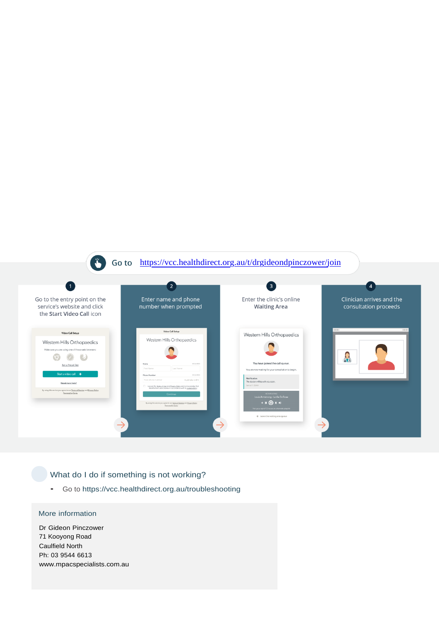

#### What do I do if something is not working?

• Go to https://vcc.healthdirect.org.au/troubleshooting

#### More information

Dr Gideon Pinczower 71 Kooyong Road Caulfield North Ph: 03 9544 6613 www.mpacspecialists.com.au